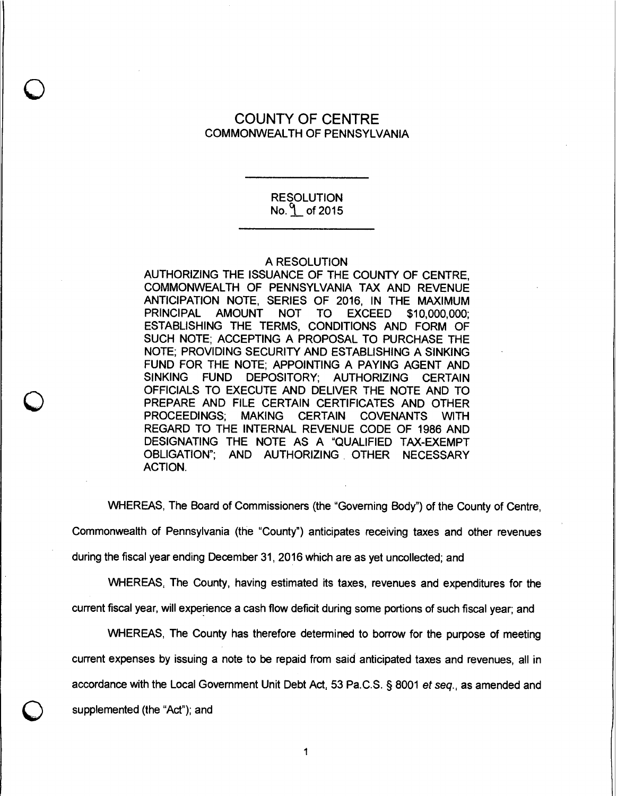# COUNTY OF CENTRE COMMONWEALTH OF PENNSYLVANIA

#### RESOLUTION No.  $\sqrt{ }$  of 2015

#### A RESOLUTION

AUTHORIZING THE ISSUANCE OF THE COUNTY OF CENTRE, COMMONWEALTH OF PENNSYLVANIA TAX AND REVENUE ANTICIPATION NOTE, SERIES OF 2016, IN THE MAXIMUM PRINCIPAL AMOUNT NOT TO EXCEED \$10,000,000; ESTABLISHING THE TERMS, CONDITIONS AND FORM OF SUCH NOTE; ACCEPTING A PROPOSAL TO PURCHASE THE NOTE; PROVIDING SECURITY AND ESTABLISHING A SINKING FUND FOR THE NOTE; APPOINTING A PAYING AGENT AND SINKING FUND DEPOSITORY; AUTHORIZING CERTAIN OFFICIALS TO EXECUTE AND DELIVER THE NOTE AND TO PREPARE AND FILE CERTAIN CERTIFICATES AND OTHER PROCEEDINGS; MAKING CERTAIN COVENANTS WITH REGARD TO THE INTERNAL REVENUE CODE OF 1986 AND DESIGNATING THE NOTE AS A "QUALIFIED TAX-EXEMPT OBLIGATION"; AND AUTHORIZING OTHER NECESSARY ACTION.

WHEREAS, The Board of Commissioners (the "Governing Body") of the County of Centre,

Commonwealth of Pennsylvania (the "County") anticipates receiving taxes and other revenues

during the fiscal year ending December 31, 2016 which are as yet uncollected; and

WHEREAS, The County, having estimated its taxes, revenues and expenditures for the current fiscal year, will experience a cash flow deficit during some portions of such fiscal year; and

WHEREAS, The County has therefore determined to borrow for the purpose of meeting current expenses by issuing a note to be repaid from said anticipated taxes and revenues, all in accordance with the Local Government Unit Debt Act, 53 Pa.C.S. § 8001 et seq., as amended and

supplemented (the "Act"); and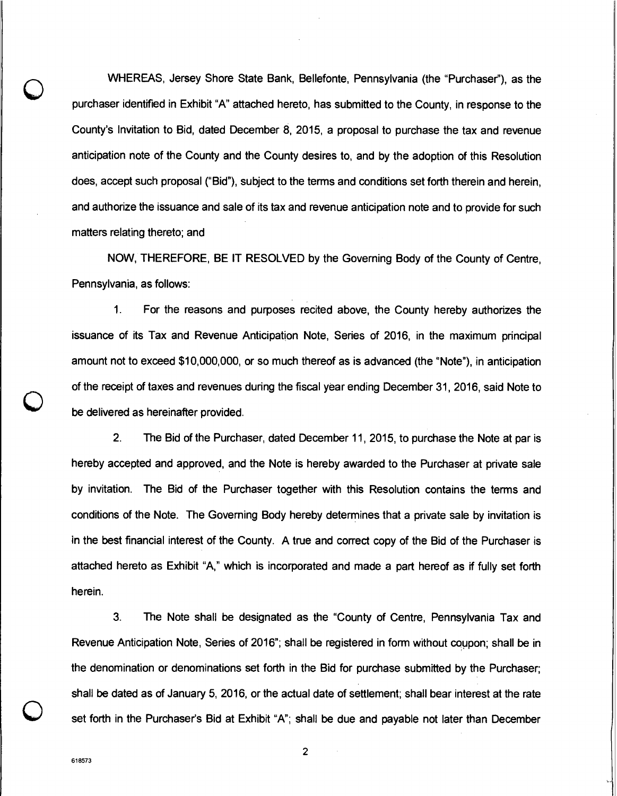WHEREAS, Jersey Shore State Bank, Bellefonte, Pennsylvania (the "Purchaser"), as the purchaser identified in Exhibit "A" attached hereto, has submitted to the County, in response to the County's Invitation to Bid, dated December 8, 2015, a proposal to purchase the tax and revenue anticipation note of the County and the County desires to, and by the adoption of this Resolution does, accept such proposal ("Bid"), subject to the terms and conditions set forth therein and herein, and authorize the issuance and sale of its tax and revenue anticipation note and to provide for such matters relating thereto; and

NOW, THEREFORE, BE IT RESOLVED by the Governing Body of the County of Centre, Pennsylvania, as follows:

1. For the reasons and purposes recited above, the County hereby authorizes the issuance of its Tax and Revenue Anticipation Note, Series of 2016, in the maximum principal amount not to exceed \$10,000,000, or so much thereof as is advanced (the "Note"), in anticipation of the receipt of taxes and revenues during the fiscal year ending December 31, 2016, said Note to be delivered as hereinafter provided.

2. The Bid of the Purchaser, dated December 11, 2015, to purchase the Note at par is hereby accepted and approved, and the Note is hereby awarded to the Purchaser at private sale by invitation. The Bid of the Purchaser together with this Resolution contains the terms and conditions of the Note. The Governing Body hereby determines that a private sale by invitation is in the best financial interest of the County. A true and correct copy of the Bid of the Purchaser is attached hereto as Exhibit "A," which is incorporated and made a part hereof as if fully set forth herein.

3. The Note shall be designated as the "County of Centre, Pennsylvania Tax and Revenue Anticipation Note, Series of 2016"; shall be registered in form without coupon; shall be in the denomination or denominations set forth in the Bid for purchase submitted by the Purchaser; shall be dated as of January 5, 2016, or the actual date of settlement; shall bear interest at the rate set forth in the Purchaser's Bid at Exhibit "A"; shall be due and payable not later than December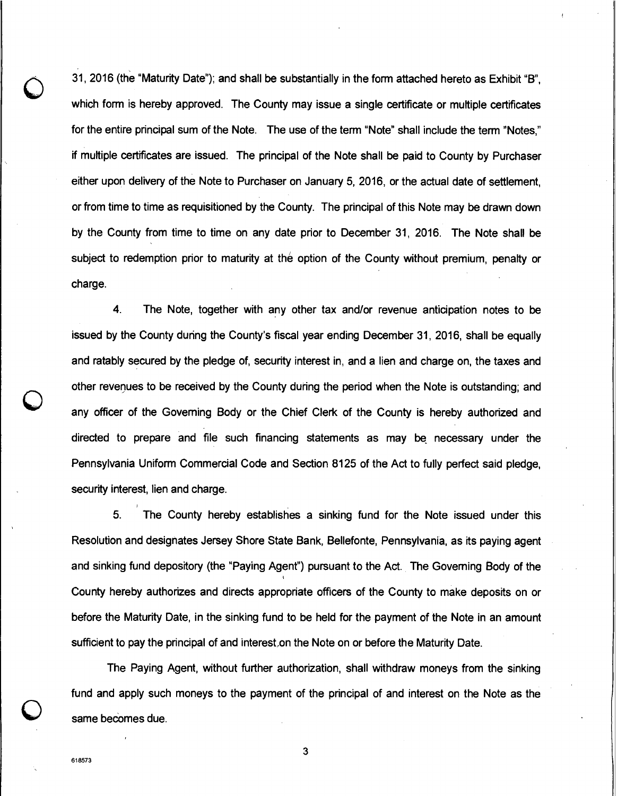31, 2016 (the "Maturity Date"); and shall be substantially in the form attached hereto as Exhibit "B", which form is hereby approved. The County may issue a single certificate or multiple certificates for the entire principal sum of the Note. The use of the term "Note" shall include the term "Notes," if multiple certificates are issued. The principal of the Note shall be paid to County by Purchaser either upon delivery of the Note to Purchaser on January 5, 2016, or the actual date of settlement, or from time to time as requisitioned by the County. The principal of this Note may be drawn down by the County from time to time on any date prior to December *31,* 2016. The Note shall be subject to redemption prior to maturity at the option of the County without premium, penalty or charge.

4. The Note, together with any other tax and/or revenue anticipation notes to be issued by the County during the County's fiscal year ending December 31, 2016, shall be equally and ratably secured by the pledge of, security interest in, and a lien and charge on, the taxes and other revenues to be received by the County during the period when the Note is outstanding; and any officer of the Governing Body or the Chief Clerk of the County is hereby authorized and directed to prepare and file such financing statements as may be necessary under the Pennsylvania Uniform Commercial Code and Section 8125 of the Act to fully perfect said pledge, security interest, lien and charge.

5. The County hereby establishes a sinking fund for the Note issued under this Resolution and designates Jersey Shore State Bank, Bellefonte, Pennsylvania, as its paying agent and sinking fund depository (the "Paying Agent") pursuant to the Act. The Governing Body of the County hereby authorizes and directs appropriate officers of the County to make deposits on or before the Maturity Date, in the sinking fund to be held for the payment of the Note in an amount sufficient to pay the principal of and interest,on the Note on or before the Maturity Date.

The Paying Agent, without further authorization, shalt withdraw moneys from the sinking fund and apply such moneys to the payment of the principal of and interest on the Note as the same becomes due.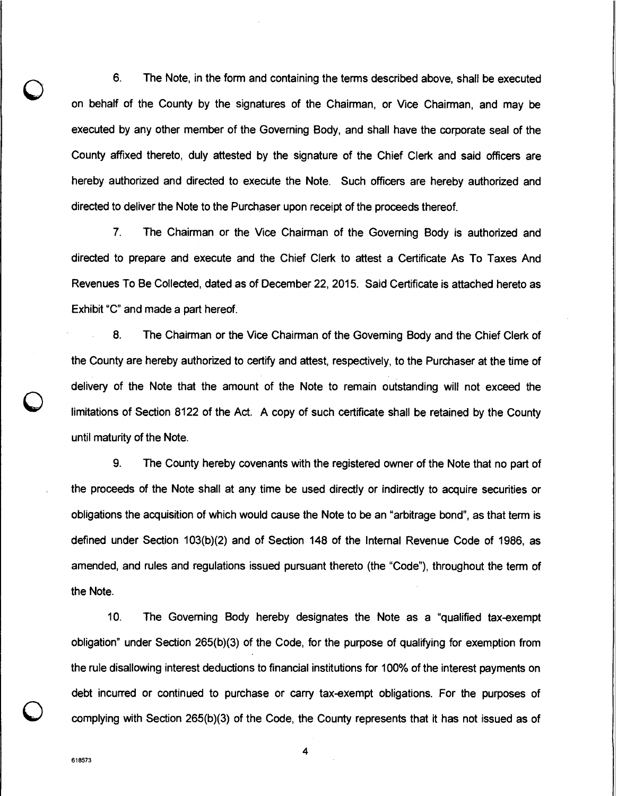6. The Note, in the form and containing the terms described above, shall be executed on behalf of the County by the signatures of the Chairman, or Vice Chairman, and may be executed by any other member of the Governing Body, and shall have the corporate seal of the County affixed thereto, duly attested by the signature of the Chief Clerk and said officers are hereby authorized and directed to execute the Note. Such officers are hereby authorized and directed to deliver the Note to the Purchaser upon receipt of the proceeds thereof.

7. The Chairman or the Vice Chairman of the Governing Body is authorized and directed to prepare and execute and the Chief Clerk to attest a Certificate As To Taxes And Revenues To Be Collected, dated as of December 22, 2015. Said Certificate is attached hereto as Exhibit "C" and made a part hereof.

8. The Chairman or the Vice Chairman of the Governing Body and the Chief Clerk of the County are hereby authorized to certify and attest, respectively, to the Purchaser at the time of delivery of the Note that the amount of the Note to remain outstanding will not exceed the limitations of Section 8122 of the Act. A copy of such certificate shall be retained by the County until maturity of the Note.

9. The County hereby covenants with the registered owner of the Note that no part of the proceeds of the Note shall at any time be used directly or indirectly to acquire securities or obligations the acquisition of which would cause the Note to be an "arbitrage bond", as that term is defined under Section 103(b)(2) and of Section 148 of the Internal Revenue Code of 1986, as amended, and rules and regulations issued pursuant thereto (the "Code"), throughout the term of the Note.

10. The Governing Body hereby designates the Note as a "qualified tax-exempt obligation" under Section 265(b)(3) of the Code, for the purpose of qualifying for exemption from the rule disallowing interest deductions to financial institutions for 100% of the interest payments on debt incurred or continued to purchase or carry tax-exempt obligations. For the purposes of complying with Section 265(b)(3) of the Code, the County represents that it has not issued as of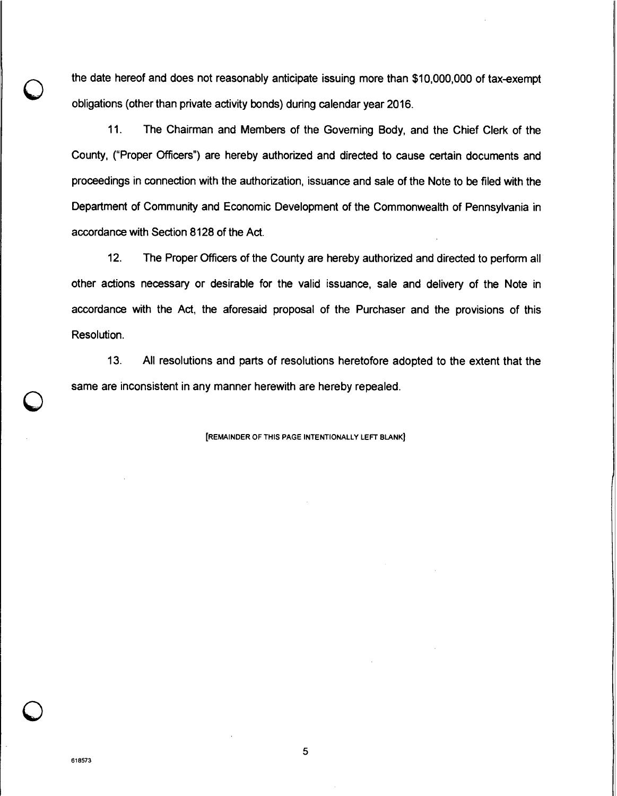the date hereof and does not reasonably anticipate issuing more than \$10,000,000 of tax-exempt obligations (other than private activity bonds) during calendar year 2016.

11. The Chairman and Members of the Governing Body, and the Chief Clerk of the County, ("Proper Officers") are hereby authorized and directed to cause certain documents and proceedings in connection with the authorization, issuance and sale of the Note to be filed with the Department of Community and Economic Development of the Commonwealth of Pennsylvania in accordance with Section 8128 of the Act.

12. The Proper Officers of the County are hereby authorized and directed to perform all other actions necessary or desirable for the valid issuance, sale and delivery of the Note in accordance with the Act, the aforesaid proposal of the Purchaser and the provisions of this Resolution.

13. All resolutions and parts of resolutions heretofore adopted to the extent that the same are inconsistent in any manner herewith are hereby repealed.

[REMAINDER OF THIS PAGE INTENTIONALLY LEFT BLANK]

618573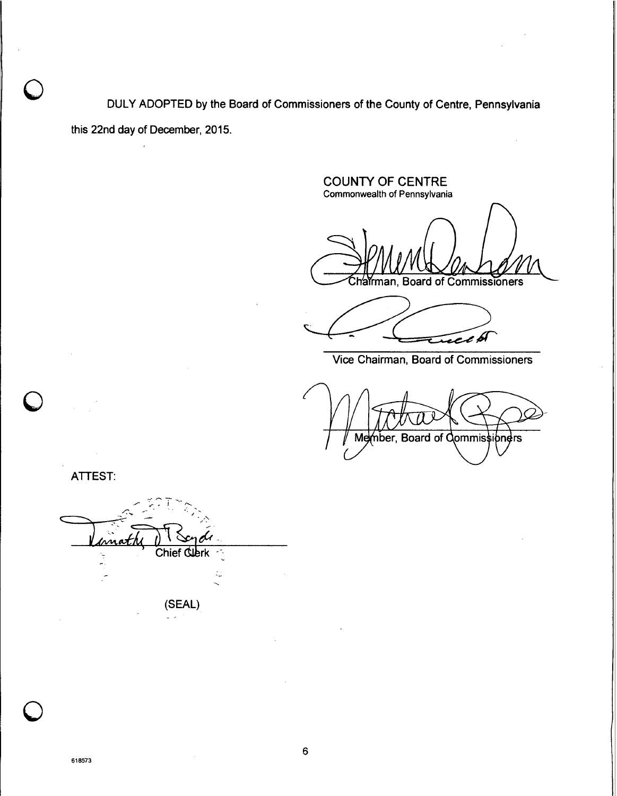0 DULY ADOPTED by the Board of Commissioners of the County of Centre, Pennsylvania this 22nd day of December, 2015.

COUNTY OF CENTRE Commonwealth of Pennsylvania harman, Board of Commissioners

E e bl

Vice Chairman, Board of Commissioners

Member, Board of Commissioners

ATTEST:

 $\bigcup$ 

—<br>—<br>Th Chief Cubrk C (SEAL)  $\sim$ 

 $\mathcal{A}$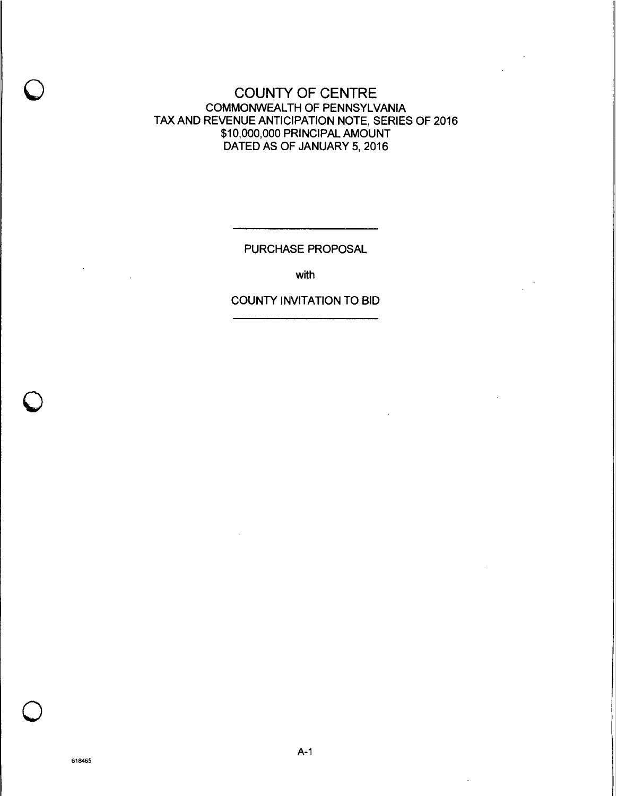# COUNTY OF CENTRE COMMONWEALTH OF PENNSYLVANIA TAX AND REVENUE ANTICIPATION NOTE, SERIES OF 2016 \$10,000,000 PRINCIPAL AMOUNT DATED AS OF JANUARY 5, 2016

PURCHASE PROPOSAL

with

# COUNTY INVITATION TO BID

 $\ddot{\phantom{a}}$ 

 $\bar{z}$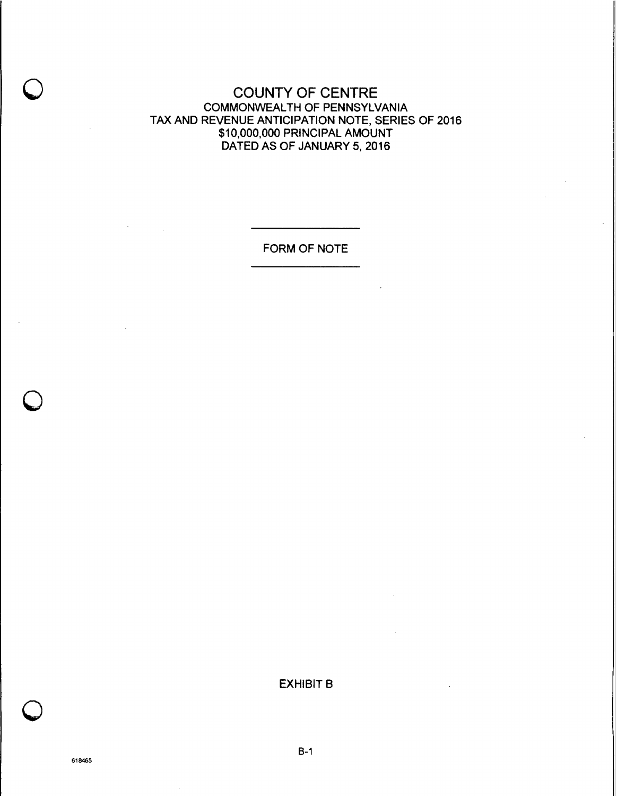COUNTY OF CENTRE COMMONWEALTH OF PENNSYLVANIA TAX AND REVENUE ANTICIPATION NOTE, SERIES OF 2016 \$10,000,000 PRINCIPAL AMOUNT DATED AS OF JANUARY 5, 2016

FORM OF NOTE

## EXHIBIT B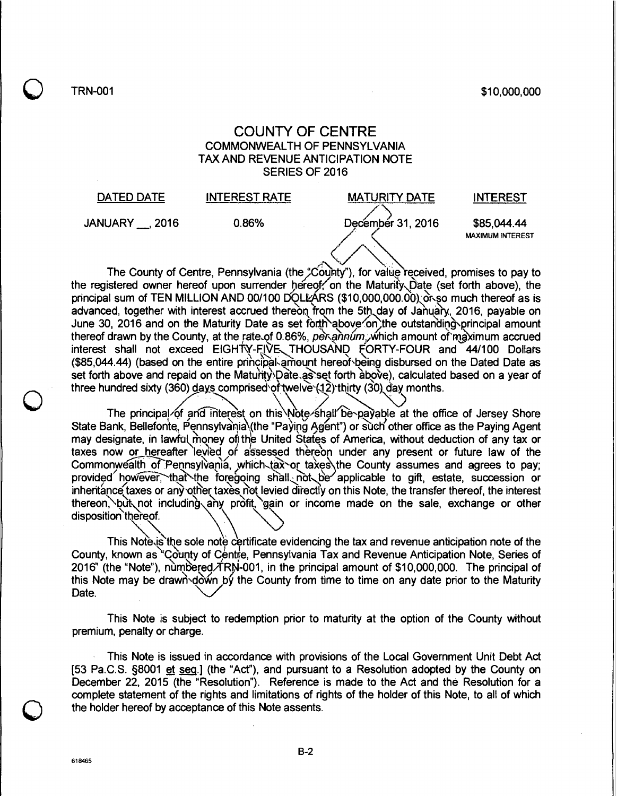$\bigcirc$  TRN-001 \$10,000,000 \$10,000,000

## COUNTY OF CENTRE COMMONWEALTH OF PENNSYLVANIA TAX AND REVENUE ANTICIPATION NOTE SERIES OF 2016



The County of Centre, Pennsylvania (the "County"), for value received, promises to pay to The County of Centre, Pennsylvania (the County'), for value received, promises to pay to<br>the registered owner hereof upon surrender hereof, on the Maturity Date (set forth above), the principal sum of TEN MILLION AND 00/100 DQLL ARS (\$10,000,000.00), or so much thereof as is advanced, together with interest accrued thereon from the 5th day of January, 2016, payable on<br>June 30, 2016 and on the Maturity Date as set forth above on the outstanding principal amount<br>thereof drawn by the County, at t June 30, 2016 and on the Maturity Date as set forth above on the outstanding principal amount thereof drawn by the County, at the rate of 0.86%, per annum, which amount of maximum accrued interest shall not exceed EIGHTY-FIVE THOUSAND FORTY-FOUR and 44/100 Dollars<br>(\$85,044.44) (based on the entire principal amount hereof being disbursed on the Dated Date as set forth above and repaid on the Maturity Date as set forth àbove), calculated based on a year of three hundred sixty (360) <u>days</u> comprised of twelve (12) thirty (30) day months. interest shall not exceed EIGHTY-FIVE THOUSAND FORTY-FOUR and 44/100 Dollars

The principal of and interest on this Note shall be payable at the office of Jersey Shore State Bank, Bellefonte, Pennsylvania\(the "Paying Agent") or such other office as the Paying Agent may designate, in lawful money of the United States of America, without deduction of any tax or taxes now or hereafter levied or assessed thereon under any present or future law of the They designate, in takes<br>taxes now or here:<br>Commonwealth of F ver, that the foregoing shall not be applicable to gift, estate, succession or inheritance taxes or any other taxes not levied directly on this Note, the transfer thereof, the interest thereon, but not including any profit, gain or income made on the sale, exchange or other thereon, but not including any profit, gain or income made on the sale, exchange or other disposition thereof. the County assumes and agrees to pay;

This Note is the sole note certificate evidencing the tax and revenue anticipation note of the County, known as "County of Centre, Pennsylvania Tax and Revenue Anticipation Note. Series of 2016" (the "Note"), numbered/TRN-001, in the principal amount of \$10,000,000. The principal of this Note may be drawn down by the County from time to time on any date prior to the Maturity Date.

This Note is subject to redemption prior to maturity at the option of the County without premium, penalty or charge.

This Note is issued in accordance with provisions of the Local Government Unit Debt Act [53 Pa.C.S. §8001 et seq.] (the "Act"), and pursuant to a Resolution adopted by the County on December 22, 2015 (the "Resolution"). Reference is made to the Act and the Resolution for a complete statement of the rights and limitations of rights of the holder of this Note, to all of which the holder hereof by acceptance of this Note assents.

B-2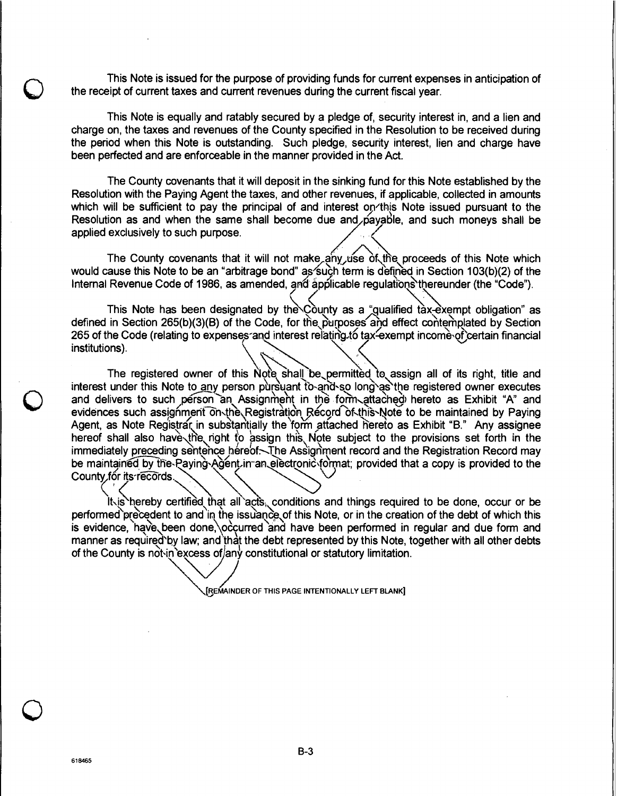This Note is issued for the purpose of providing funds for current expenses in anticipation of the receipt of current taxes and current revenues during the current fiscal year.

This Note is equally and ratably secured by a pledge of, security interest in, and a lien and charge on, the taxes and revenues of the County specified in the Resolution to be received during the period when this Note is outstanding. Such pledge, security interest, lien and charge have been perfected and are enforceable in the manner provided in the Act.

The County covenants that it will deposit in the sinking fund for this Note established by the Resolution with the Paying Agent the taxes, and other revenues, if applicable, collected in amounts which will be sufficient to pay the principal of and interest on this Note issued pursuant to the Resolution as and when the same shall become due and payable, and such moneys shall be applied exclusively to such purpose.

The County covenants that it will not make any use of the proceeds of this Note which would cause this Note to be an "arbitrage bond" as such term is defined in Section 103(b)(2) of the Internal Revenue Code of 1986, as amended, and applicable regulations thereunder (the "Code").

This Note has been designated by the County as a "qualified tax-exempt obligation" as defined in Section 265(b)(3)(B) of the Code, for the purposes and effect contemplated by Section defined in Section 200(D)(3)(B) of the Code, for the purposes and effect contemplated by Section<br>265 of the Code (relating to expenses and interest relating to tax-exempt income of certain financial<br>institutions).

The registered owner of this Note shall be permitted to assign all of its right, title and interest under this Note to any person pursuant to and so long as the registered owner executes and delivers to such person an Assignment in the form attached hereto as Exhibit "A" and evidences such assignment on the Registration Record of this Note to be maintained by Paying Agent, as Note Registrar in substantially the form attached hereto as Exhibit "B." Any assignee hereof shall also have the right to assign this Note subject to the provisions set forth in the immediately preceding sentence hereof. The Assignment record and the Registration Record may be maintained by the Paying Agent in an electronic format; provided that a copy is provided to the County for its records.

lt is hereby certified that all acts, conditions and things required to be done, occur or be performed precedent to and in the issuance of this Note, or in the creation of the debt of which this is evidence, have, been done, occurred and have been performed in regular and due form and manner as required by law; and that the debt represented by this Note, together with all other debts of the County is not in excess of any constitutional or statutory limitation.

[REMAINDER OF THIS PAGE INTENTIONALLY LEFT BLANK]

Q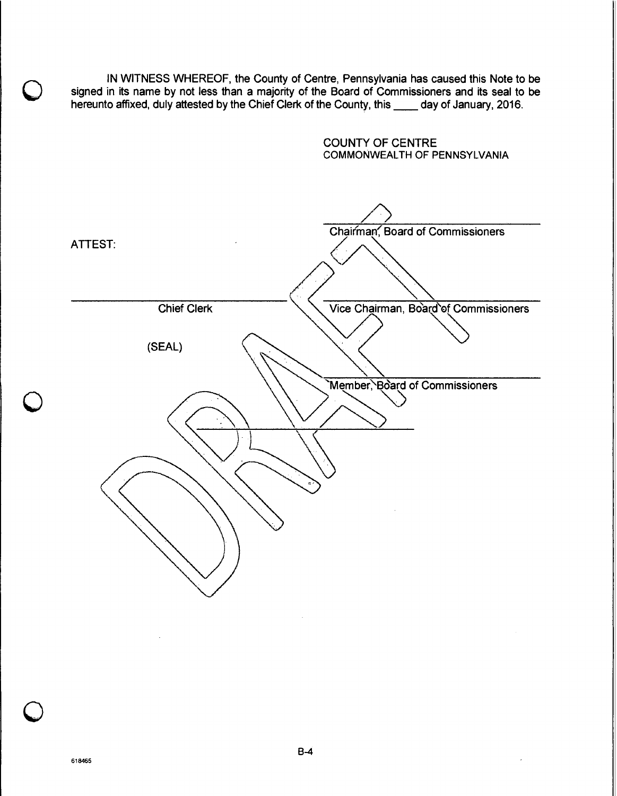IN WITNESS WHEREOF, the County of Centre, Pennsylvania has caused this Note to be signed in its name by not less than a majority of the Board of Commissioners and its seal to be hereunto affixed, duly attested by the Chief Clerk of the County, this \_\_\_\_ day of January, 2016.



**NO]** 

8-4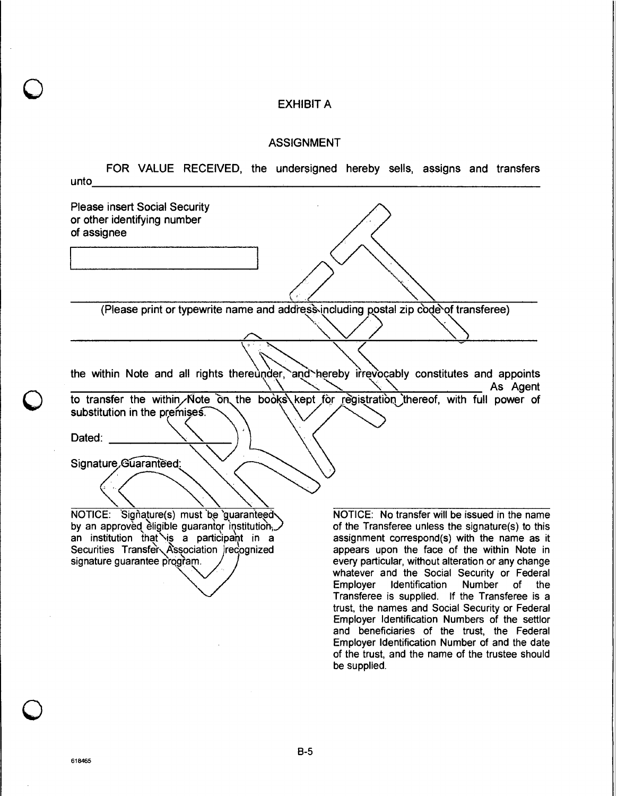# EXHIBIT A

#### ASSIGNMENT

| unto                                                                                       | FOR VALUE RECEIVED, the undersigned hereby sells, assigns and transfers                           |
|--------------------------------------------------------------------------------------------|---------------------------------------------------------------------------------------------------|
| <b>Please insert Social Security</b>                                                       |                                                                                                   |
| or other identifying number                                                                |                                                                                                   |
| of assignee                                                                                |                                                                                                   |
|                                                                                            |                                                                                                   |
|                                                                                            |                                                                                                   |
|                                                                                            |                                                                                                   |
| (Please print or typewrite name and address including postal zip code of transferee)       |                                                                                                   |
|                                                                                            |                                                                                                   |
|                                                                                            |                                                                                                   |
|                                                                                            |                                                                                                   |
|                                                                                            |                                                                                                   |
| the within Note and all rights thereunder, and hereby irrevocably constitutes and appoints |                                                                                                   |
|                                                                                            | As Agent                                                                                          |
| to transfer the within Note on the books kept for registration thereof, with full power of |                                                                                                   |
| substitution in the premises.                                                              |                                                                                                   |
| Dated:                                                                                     |                                                                                                   |
|                                                                                            |                                                                                                   |
| Signature Guaranteed:                                                                      |                                                                                                   |
|                                                                                            |                                                                                                   |
|                                                                                            |                                                                                                   |
|                                                                                            |                                                                                                   |
| NOTICE: Signature(s) must be guaranteed                                                    | NOTICE: No transfer will be issued in the name                                                    |
| by an approved eligible guarantor institution,                                             | of the Transferee unless the signature(s) to this                                                 |
| an institution that is a participant in a                                                  | assignment correspond(s) with the name as it                                                      |
| Securities Transfer Association recognized                                                 | appears upon the face of the within Note in                                                       |
| signature guarantee program.                                                               | every particular, without alteration or any change<br>whatever and the Social Security or Federal |
|                                                                                            | Employer<br>Identification<br>Number<br>the<br>οf                                                 |
|                                                                                            | Transferee is supplied. If the Transferee is a                                                    |
|                                                                                            | trust, the names and Social Security or Federal                                                   |
|                                                                                            | Employer Identification Numbers of the settlor                                                    |

be supplied.

and beneficiaries of the trust, the Federal Employer Identification Number of and the date of the trust, and the name of the trustee should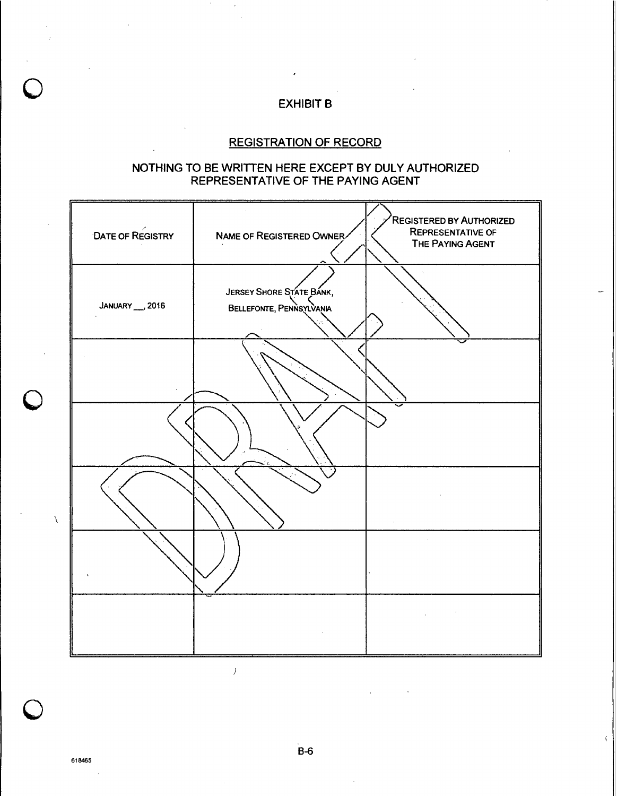# EXHIBIT B

# REGISTRATION OF RECORD

## NOTHING TO BE WRITTEN HERE EXCEPT BY DULY AUTHORIZED REPRESENTATIVE OF THE PAYING AGENT



618465

B-6

Ý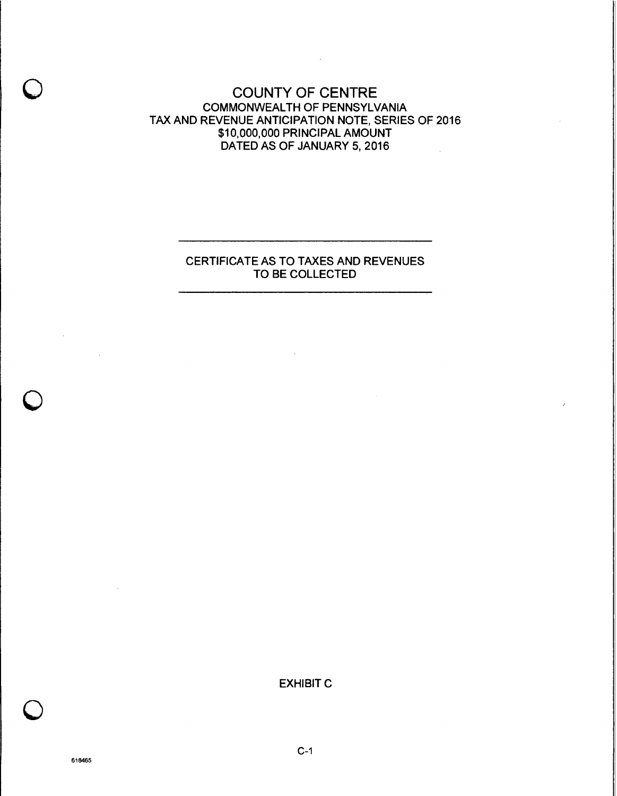COUNTY OF CENTRE COMMONWEALTH OF PENNSYLVANIA TAX AND REVENUE ANTICIPATION NOTE, SERIES OF 2016 \$10,000,000 PRINCIPAL AMOUNT DATED AS OF JANUARY 5, 2016

 $\mathcal{L}^{\text{max}}_{\text{max}}$ 

#### CERTIFICATE AS TO TAXES AND REVENUES TO BE COLLECTED

 $\sim 10$ 

EXHIBIT C

 $\mathcal{L}^{\mathcal{L}}$ 

 $\mathcal{L}^{\text{max}}_{\text{max}}$  ,  $\mathcal{L}^{\text{max}}_{\text{max}}$ 

 $C-1$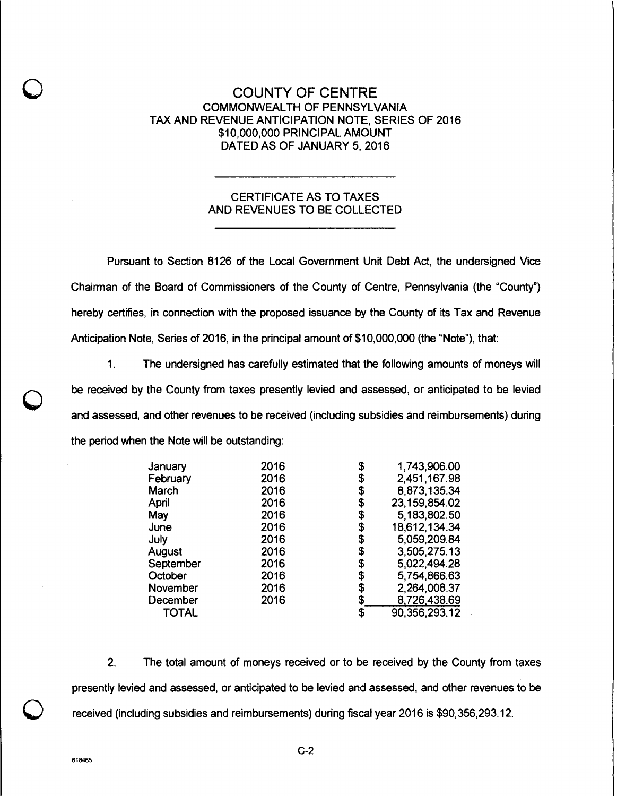## COUNTY OF CENTRE COMMONWEALTH OF PENNSYLVANIA TAX AND REVENUE ANTICIPATION NOTE, SERIES OF 2016 \$10,000,000 PRINCIPAL AMOUNT DATED AS OF JANUARY 5, 2016

## CERTIFICATE AS TO TAXES AND REVENUES TO BE COLLECTED

Pursuant to Section 8126 of the Local Government Unit Debt Act, the undersigned Vice Chairman of the Board of Commissioners of the County of Centre, Pennsylvania (the "County") hereby certifies, in connection with the proposed issuance by the County of its Tax and Revenue Anticipation Note, Series of 2016, in the principal amount of \$10,000,000 (the "Note"), that:

 $1<sub>1</sub>$ The undersigned has carefully estimated that the following amounts of moneys will be received by the County from taxes presently levied and assessed, or anticipated to be levied and assessed, and other revenues to be received (including subsidies and reimbursements) during the period when the Note will be outstanding:

| 2016 | \$<br>1,743,906.00    |
|------|-----------------------|
| 2016 | \$<br>2,451,167.98    |
| 2016 | \$<br>8,873,135.34    |
| 2016 | \$<br>23, 159, 854.02 |
| 2016 | \$<br>5,183,802.50    |
| 2016 | \$<br>18,612,134.34   |
| 2016 | \$<br>5,059,209.84    |
| 2016 | \$<br>3,505,275.13    |
| 2016 | \$<br>5,022,494.28    |
| 2016 | \$<br>5,754,866.63    |
| 2016 | \$<br>2,264,008.37    |
| 2016 | \$<br>8,726,438.69    |
|      | \$<br>90,356,293.12   |
|      |                       |

2. The total amount of moneys received or to be received by the County from taxes presently levied and assessed, or anticipated to be levied and assessed, and other revenues to be received (including subsidies and reimbursements) during fiscal year 2016 is \$90,356,293.12.

O

C-2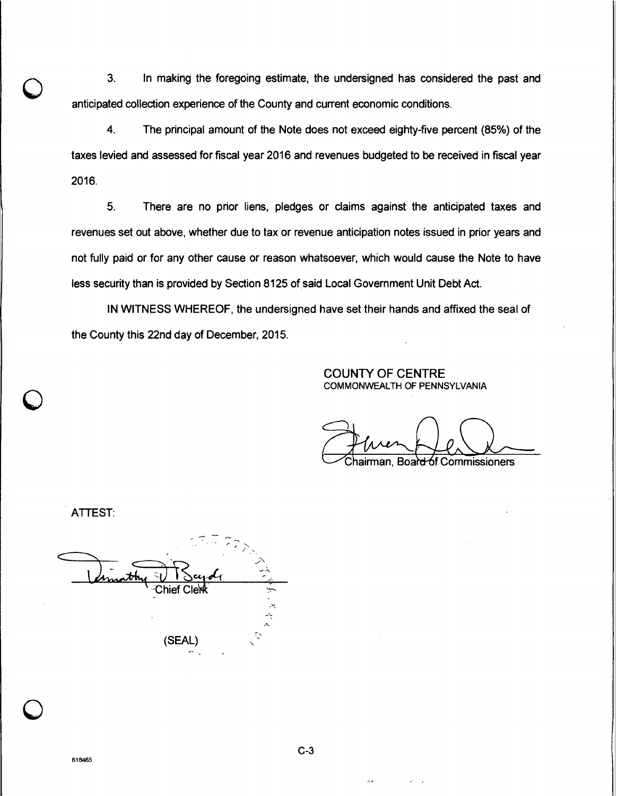3. In making the foregoing estimate, the undersigned has considered the past and anticipated collection experience of the County and current economic conditions.

4. The principal amount of the Note does not exceed eighty-five percent (85%) of the taxes levied and assessed for fiscal year 2016 and revenues budgeted to be received in fiscal year 2016.

5. There are no prior liens, pledges or claims against the anticipated taxes and revenues set out above, whether due to tax or revenue anticipation notes issued in prior years and not fully paid or for any other cause or reason whatsoever, which would cause the Note to have less security than is provided by Section 8125 of said Local Government Unit Debt Act.

IN WITNESS WHEREOF, the undersigned have set their hands and affixed the seal of the County this 22nd day of December, 2015.

#### COUNTY OF CENTRE COMMONWEALTH OF PENNSYLVANIA

hairman, Boar<del>d ó</del>f Commissioners

ATTEST:

Chief Cler (SEAL)

C-3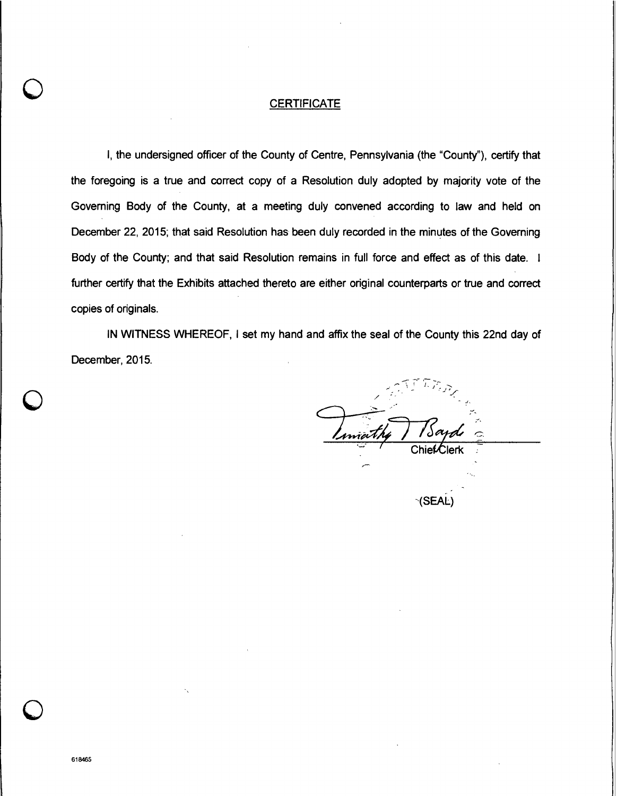#### **CERTIFICATE**

I, the undersigned officer of the County of Centre, Pennsylvania (the "County"), certify that the foregoing is a true and correct copy of a Resolution duly adopted by majority vote of the Governing Body of the County, at a meeting duly convened according to law and held on December 22, 2015; that said Resolution has been duly recorded in the minutes of the Governing Body of the County; and that said Resolution remains in full force and effect as of this date. I further certify that the Exhibits attached thereto are either original counterparts or true and correct copies of originals.

IN WITNESS WHEREOF, I set my hand and affix the seal of the County this 22nd day of December, 2015.

the *Sayd* 

(SEAL)

C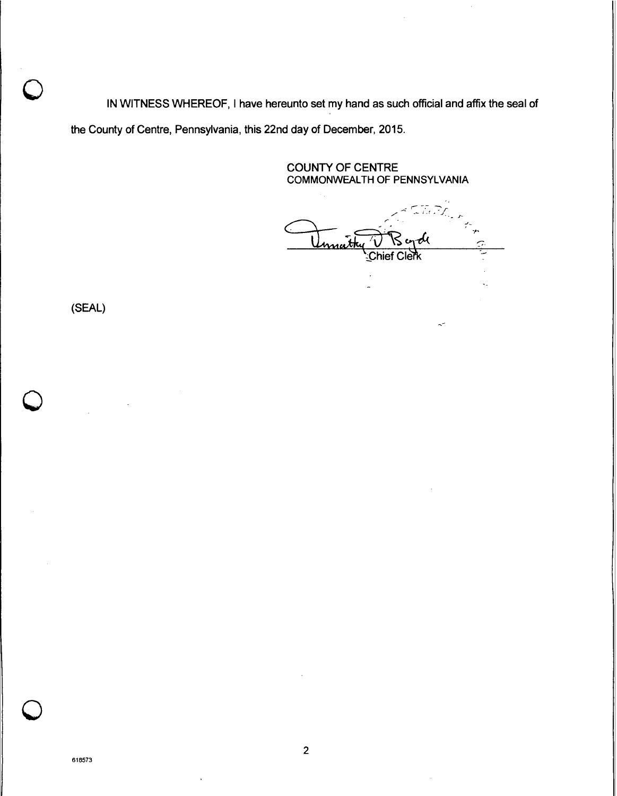IN WITNESS WHEREOF, I have hereunto set my hand as such official and affix the seal of the County of Centre, Pennsylvania, this 22nd day of December, 2015.

> COUNTY OF CENTRE COMMONWEALTH OF PENNSYLVANIA

Ta Pa<sub>ran</sub> <u>nnat</u> hief Cleřk

(SEAL)

**MOR**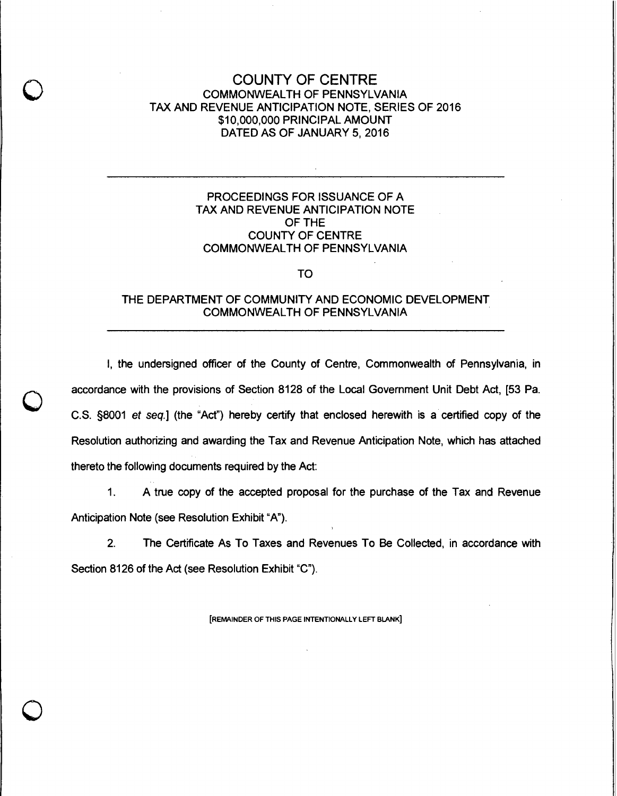## COUNTY OF CENTRE COMMONWEALTH OF PENNSYLVANIA TAX AND REVENUE ANTICIPATION NOTE, SERIES OF 2016 \$10,000,000 PRINCIPAL AMOUNT DATED AS OF JANUARY 5, 2016

#### PROCEEDINGS FOR ISSUANCE OF A TAX AND REVENUE ANTICIPATION NOTE OF THE COUNTY OF CENTRE COMMONWEALTH OF PENNSYLVANIA

#### **TO**

#### THE DEPARTMENT OF COMMUNITY AND ECONOMIC DEVELOPMENT COMMONWEALTH OF PENNSYLVANIA

I, the undersigned officer of the County of Centre, Commonwealth of Pennsylvania, in accordance with the provisions of Section 8128 of the Local Government Unit Debt Act, [53 Pa. C.S. §8001 et seq.] (the "Act") hereby certify that enclosed herewith is a certified copy of the Resolution authorizing and awarding the Tax and Revenue Anticipation Note, which has attached thereto the following documents required by the Act:

1. A true copy of the accepted proposal for the purchase of the Tax and Revenue Anticipation Note (see Resolution Exhibit "A").

2. The Certificate As To Taxes and Revenues To Be Collected, in accordance with Section 8126 of the Act (see Resolution Exhibit "C").

[REMAINDER OF THIS PAGE INTENTIONALLY LEFT BLANK]